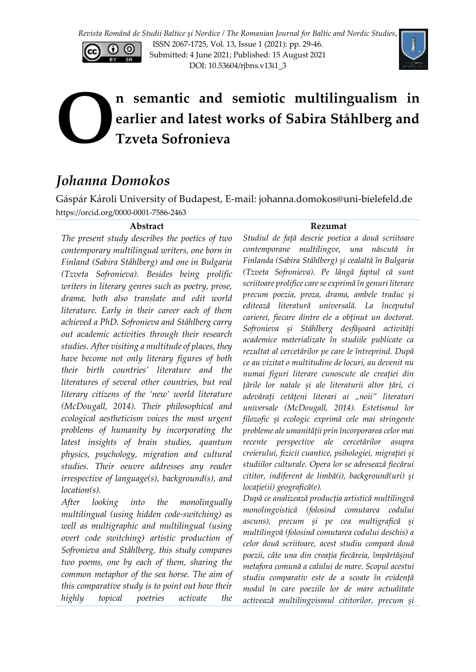

ISSN 2067-1725, Vol. 13, Issue 1 (2021): pp. 29-46. Submitted: 4 June 2021; Published: 15 August 2021 DOI: 10.53604/rjbns.v13i1\_3



# **n semantic and semiotic multilingualism in earlier and latest works of Sabira Ståhlberg and Tzveta Sofronieva O**

## *Johanna Domokos*

Gáspár Károli University of Budapest, E-mail: johanna.domokos@uni-bielefeld.de https://orcid.org/0000-0001-7586-2463

#### **Abstract**

*The present study describes the poetics of two contemporary multilingual writers, one born in Finland (Sabira Ståhlberg) and one in Bulgaria (Tzveta Sofronieva). Besides being prolific writers in literary genres such as poetry, prose, drama, both also translate and edit world literature. Early in their career each of them achieved a PhD. Sofronieva and Ståhlberg carry out academic activities through their research studies. After visiting a multitude of places, they have become not only literary figures of both their birth countries' literature and the literatures of several other countries, but real literary citizens of the 'new' world literature (McDougall, 2014). Their philosophical and ecological aestheticism voices the most urgent problems of humanity by incorporating the latest insights of brain studies, quantum physics, psychology, migration and cultural studies. Their oeuvre addresses any reader irrespective of language(s), background(s), and location(s).*

*After looking into the monolingually multilingual (using hidden code-switching) as well as multigraphic and multilingual (using overt code switching) artistic production of Sofronieva and Ståhlberg, this study compares two poems, one by each of them, sharing the common metaphor of the sea horse. The aim of this comparative study is to point out how their highly topical poetries activate the* 

#### **Rezumat**

*Studiul de față descrie poetica a două scriitoare contemporane multilingve, una născută în Finlanda (Sabira Ståhlberg) și cealaltă în Bulgaria (Tzveta Sofronieva). Pe lângă faptul că sunt scriitoare prolifice care se exprimă în genuri literare precum poezia, proza, drama, ambele traduc și editează literatură universală. La începutul carierei, fiecare dintre ele a obținut un doctorat. Sofronieva și Ståhlberg desfășoară activități academice materializate în studiile publicate ca rezultat al cercetărilor pe care le întreprind. După ce au vizitat o multitudine de locuri, au devenit nu numai figuri literare cunoscute ale creației din țările lor natale și ale literaturii altor țări, ci adevărați cetățeni literari ai "noii" literaturi universale (McDougall, 2014). Estetismul lor filozofic și ecologic exprimă cele mai stringente probleme ale umanității prin încorporarea celor mai recente perspective ale cercetărilor asupra creierului, fizicii cuantice, psihologiei, migrației și studiilor culturale. Opera lor se adresează fiecărui cititor, indiferent de limbă(i), background(uri) și locație(ii) geografică(e).*

*După ce analizează producția artistică multilingvă monolingvistică (folosind comutarea codului ascuns), precum și pe cea multigrafică și multilingvă (folosind comutarea codului deschis) a celor două scriitoare, acest studiu compară două poezii, câte una din creația fiecăreia, împărtășind metafora comună a calului de mare. Scopul acestui studiu comparativ este de a scoate în evidență modul în care poeziile lor de mare actualitate activează multilingvismul cititorilor, precum și*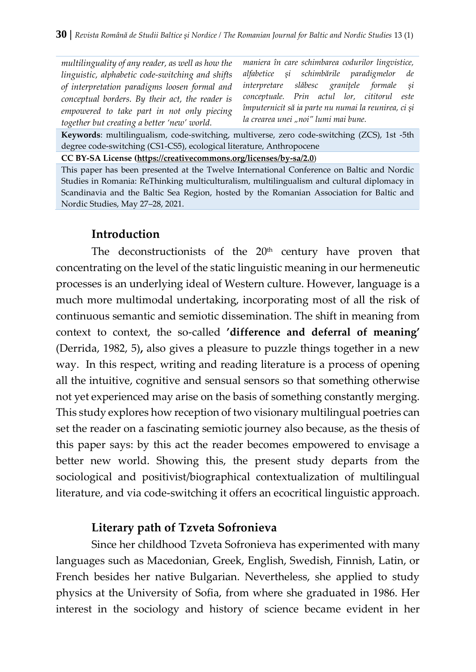*multilinguality of any reader, as well as how the linguistic, alphabetic code-switching and shifts of interpretation paradigms loosen formal and conceptual borders. By their act, the reader is empowered to take part in not only piecing together but creating a better 'new' world.*

*maniera în care schimbarea codurilor lingvistice, alfabetice și schimbările paradigmelor de interpretare slăbesc granițele formale și conceptuale. Prin actul lor, cititorul este împuternicit să ia parte nu numai la reunirea, ci și la crearea unei "noi" lumi mai bune.*

**Keywords**: multilingualism, code-switching, multiverse, zero code-switching (ZCS), 1st -5th degree code-switching (CS1-CS5), ecological literature, Anthropocene

**CC BY-SA License [\(https://creativecommons.org/licenses/by-sa/2.0](https://creativecommons.org/licenses/by-sa/2.0)**)

This paper has been presented at the Twelve International Conference on Baltic and Nordic Studies in Romania: ReThinking multiculturalism, multilingualism and cultural diplomacy in Scandinavia and the Baltic Sea Region, hosted by the Romanian Association for Baltic and Nordic Studies, May 27–28, 2021.

#### **Introduction**

The deconstructionists of the  $20<sup>th</sup>$  century have proven that concentrating on the level of the static linguistic meaning in our hermeneutic processes is an underlying ideal of Western culture. However, language is a much more multimodal undertaking, incorporating most of all the risk of continuous semantic and semiotic dissemination. The shift in meaning from context to context, the so-called **'difference and deferral of meaning'**  (Derrida, 1982, 5)**,** also gives a pleasure to puzzle things together in a new way. In this respect, writing and reading literature is a process of opening all the intuitive, cognitive and sensual sensors so that something otherwise not yet experienced may arise on the basis of something constantly merging. This study explores how reception of two visionary multilingual poetries can set the reader on a fascinating semiotic journey also because, as the thesis of this paper says: by this act the reader becomes empowered to envisage a better new world. Showing this, the present study departs from the sociological and positivist/biographical contextualization of multilingual literature, and via code-switching it offers an ecocritical linguistic approach.

#### **Literary path of Tzveta Sofronieva**

Since her childhood Tzveta Sofronieva has experimented with many languages such as Macedonian, Greek, English, Swedish, Finnish, Latin, or French besides her native Bulgarian. Nevertheless, she applied to study physics at the University of Sofia, from where she graduated in 1986. Her interest in the sociology and history of science became evident in her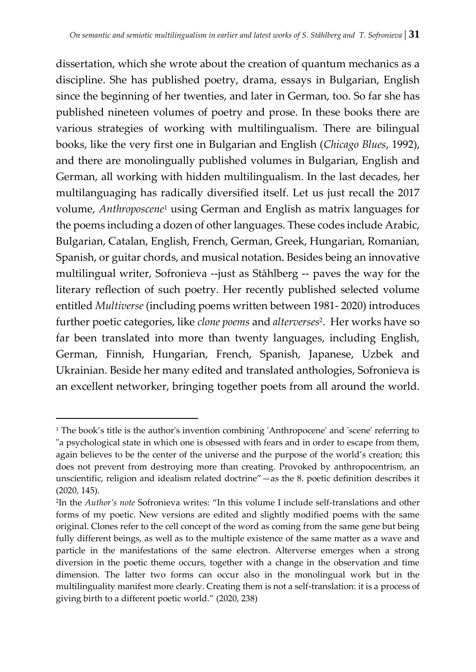dissertation, which she wrote about the creation of quantum mechanics as a discipline. She has published poetry, drama, essays in Bulgarian, English since the beginning of her twenties, and later in German, too. So far she has published nineteen volumes of poetry and prose. In these books there are various strategies of working with multilingualism. There are bilingual books, like the very first one in Bulgarian and English (*Chicago Blues*, 1992), and there are monolingually published volumes in Bulgarian, English and German, all working with hidden multilingualism. In the last decades, her multilanguaging has radically diversified itself. Let us just recall the 2017 volume, *Anthroposcene*<sup>1</sup> using German and English as matrix languages for the poems including a dozen of other languages. These codes include Arabic, Bulgarian, Catalan, English, French, German, Greek, Hungarian, Romanian, Spanish, or guitar chords, and musical notation. Besides being an innovative multilingual writer, Sofronieva --just as Ståhlberg -- paves the way for the literary reflection of such poetry. Her recently published selected volume entitled *Multiverse* (including poems written between 1981- 2020) introduces further poetic categories, like *clone poems* and *alterverses*<sup>2</sup> . Her works have so far been translated into more than twenty languages, including English, German, Finnish, Hungarian, French, Spanish, Japanese, Uzbek and Ukrainian. Beside her many edited and translated anthologies, Sofronieva is an excellent networker, bringing together poets from all around the world.

 $\overline{a}$ 

 $1$ <sup>1</sup> The book's title is the author's invention combining 'Anthropocene' and 'scene' referring to "a psychological state in which one is obsessed with fears and in order to escape from them, again believes to be the center of the universe and the purpose of the world's creation; this does not prevent from destroying more than creating. Provoked by anthropocentrism, an unscientific, religion and idealism related doctrine"—as the 8. poetic definition describes it (2020, 145).

<sup>2</sup> In the *Author's note* Sofronieva writes: "In this volume I include self-translations and other forms of my poetic. New versions are edited and slightly modified poems with the same original. Clones refer to the cell concept of the word as coming from the same gene but being fully different beings, as well as to the multiple existence of the same matter as a wave and particle in the manifestations of the same electron. Alterverse emerges when a strong diversion in the poetic theme occurs, together with a change in the observation and time dimension. The latter two forms can occur also in the monolingual work but in the multilinguality manifest more clearly. Creating them is not a self-translation: it is a process of giving birth to a different poetic world." (2020, 238)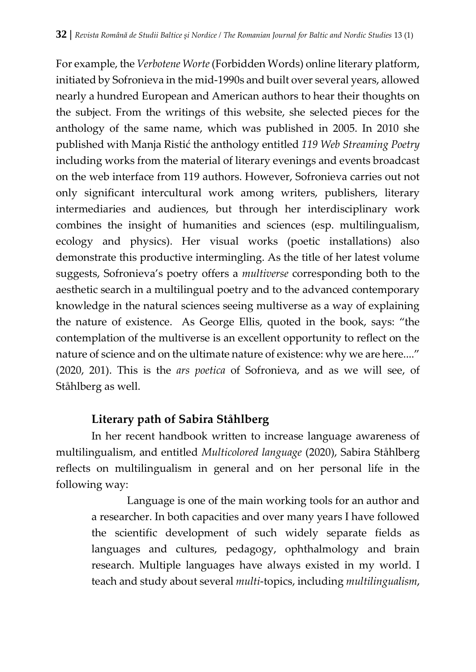For example, the *Verbotene Worte*(Forbidden Words) online literary platform, initiated by Sofronieva in the mid-1990s and built over several years, allowed nearly a hundred European and American authors to hear their thoughts on the subject. From the writings of this website, she selected pieces for the anthology of the same name, which was published in 2005. In 2010 she published with Manja Ristić the anthology entitled *119 Web Streaming Poetry* including works from the material of literary evenings and events broadcast on the web interface from 119 authors. However, Sofronieva carries out not only significant intercultural work among writers, publishers, literary intermediaries and audiences, but through her interdisciplinary work combines the insight of humanities and sciences (esp. multilingualism, ecology and physics). Her visual works (poetic installations) also demonstrate this productive intermingling. As the title of her latest volume suggests, Sofronieva's poetry offers a *multiverse* corresponding both to the aesthetic search in a multilingual poetry and to the advanced contemporary knowledge in the natural sciences seeing multiverse as a way of explaining the nature of existence. As George Ellis, quoted in the book, says: "the contemplation of the multiverse is an excellent opportunity to reflect on the nature of science and on the ultimate nature of existence: why we are here...." (2020, 201). This is the *ars poetica* of Sofronieva, and as we will see, of Ståhlberg as well.

### **Literary path of Sabira Ståhlberg**

In her recent handbook written to increase language awareness of multilingualism, and entitled *Multicolored language* (2020), Sabira Ståhlberg reflects on multilingualism in general and on her personal life in the following way:

Language is one of the main working tools for an author and a researcher. In both capacities and over many years I have followed the scientific development of such widely separate fields as languages and cultures, pedagogy, ophthalmology and brain research. Multiple languages have always existed in my world. I teach and study about several *multi*-topics, including *multilingualism*,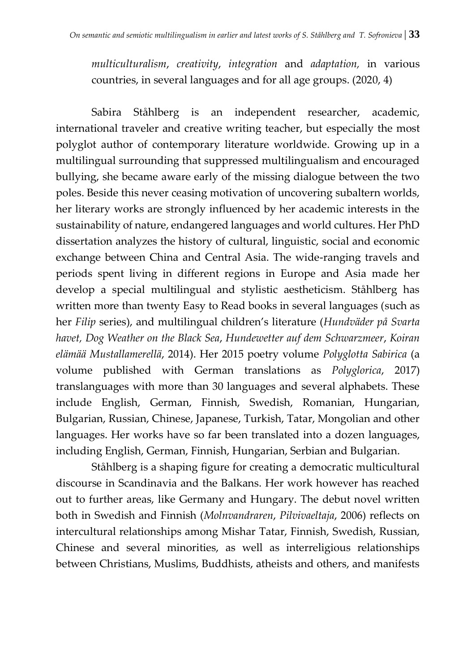*multiculturalism*, *creativity*, *integration* and *adaptation,* in various countries, in several languages and for all age groups. (2020, 4)

Sabira Ståhlberg is an independent researcher, academic, international traveler and creative writing teacher, but especially the most polyglot author of contemporary literature worldwide. Growing up in a multilingual surrounding that suppressed multilingualism and encouraged bullying, she became aware early of the missing dialogue between the two poles. Beside this never ceasing motivation of uncovering subaltern worlds, her literary works are strongly influenced by her academic interests in the sustainability of nature, endangered languages and world cultures. Her PhD dissertation analyzes the history of cultural, linguistic, social and economic exchange between China and Central Asia. The wide-ranging travels and periods spent living in different regions in Europe and Asia made her develop a special multilingual and stylistic aestheticism. Ståhlberg has written more than twenty Easy to Read books in several languages (such as her *Filip* series), and multilingual children's literature (*Hundväder på Svarta havet, Dog Weather on the Black Sea*, *Hundewetter auf dem Schwarzmeer*, *Koiran elämää Mustallamerellä*, 2014). Her 2015 poetry volume *Polyglotta Sabirica* (a volume published with German translations as *Polyglorica*, 2017) translanguages with more than 30 languages and several alphabets. These include English, German, Finnish, Swedish, Romanian, Hungarian, Bulgarian, Russian, Chinese, Japanese, Turkish, Tatar, Mongolian and other languages. Her works have so far been translated into a dozen languages, including English, German, Finnish, Hungarian, Serbian and Bulgarian.

Ståhlberg is a shaping figure for creating a democratic multicultural discourse in Scandinavia and the Balkans. Her work however has reached out to further areas, like Germany and Hungary. The debut novel written both in Swedish and Finnish (*Molnvandraren*, *Pilvivaeltaja*, 2006) reflects on intercultural relationships among Mishar Tatar, Finnish, Swedish, Russian, Chinese and several minorities, as well as interreligious relationships between Christians, Muslims, Buddhists, atheists and others, and manifests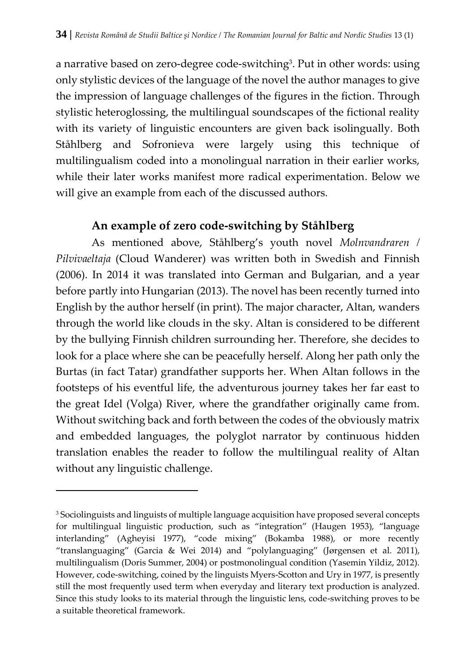a narrative based on zero-degree code-switching<sup>3</sup>. Put in other words: using only stylistic devices of the language of the novel the author manages to give the impression of language challenges of the figures in the fiction. Through stylistic heteroglossing, the multilingual soundscapes of the fictional reality with its variety of linguistic encounters are given back isolingually. Both Ståhlberg and Sofronieva were largely using this technique of multilingualism coded into a monolingual narration in their earlier works, while their later works manifest more radical experimentation. Below we will give an example from each of the discussed authors.

### **An example of zero code-switching by Ståhlberg**

As mentioned above, Ståhlberg's youth novel *Molnvandraren / Pilvivaeltaja* (Cloud Wanderer) was written both in Swedish and Finnish (2006). In 2014 it was translated into German and Bulgarian, and a year before partly into Hungarian (2013). The novel has been recently turned into English by the author herself (in print). The major character, Altan, wanders through the world like clouds in the sky. Altan is considered to be different by the bullying Finnish children surrounding her. Therefore, she decides to look for a place where she can be peacefully herself. Along her path only the Burtas (in fact Tatar) grandfather supports her. When Altan follows in the footsteps of his eventful life, the adventurous journey takes her far east to the great Idel (Volga) River, where the grandfather originally came from. Without switching back and forth between the codes of the obviously matrix and embedded languages, the polyglot narrator by continuous hidden translation enables the reader to follow the multilingual reality of Altan without any linguistic challenge.

 $\overline{a}$ 

<sup>&</sup>lt;sup>3</sup> Sociolinguists and linguists of multiple language acquisition have proposed several concepts for multilingual linguistic production, such as "integration" (Haugen 1953), "language interlanding" (Agheyisi 1977), "code mixing" (Bokamba 1988), or more recently "translanguaging" (Garcia & Wei 2014) and "polylanguaging" (Jørgensen et al. 2011), multilingualism (Doris Summer, 2004) or postmonolingual condition (Yasemin Yildiz, 2012). However, code-switching, coined by the linguists Myers-Scotton and Ury in 1977, is presently still the most frequently used term when everyday and literary text production is analyzed. Since this study looks to its material through the linguistic lens, code-switching proves to be a suitable theoretical framework.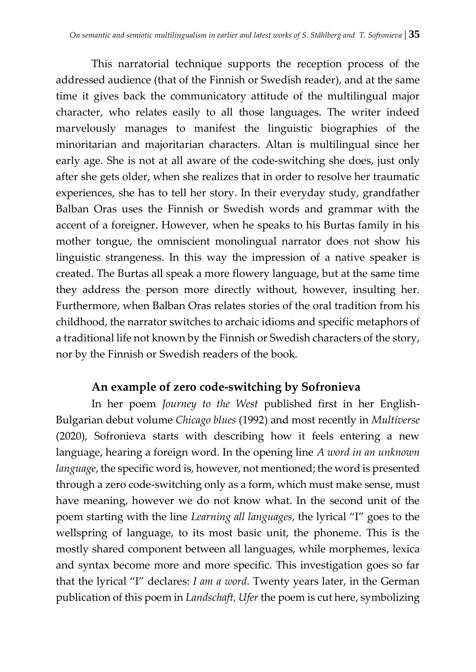This narratorial technique supports the reception process of the addressed audience (that of the Finnish or Swedish reader), and at the same time it gives back the communicatory attitude of the multilingual major character, who relates easily to all those languages. The writer indeed marvelously manages to manifest the linguistic biographies of the minoritarian and majoritarian characters. Altan is multilingual since her early age. She is not at all aware of the code-switching she does, just only after she gets older, when she realizes that in order to resolve her traumatic experiences, she has to tell her story. In their everyday study, grandfather Balban Oras uses the Finnish or Swedish words and grammar with the accent of a foreigner. However, when he speaks to his Burtas family in his mother tongue, the omniscient monolingual narrator does not show his linguistic strangeness. In this way the impression of a native speaker is created. The Burtas all speak a more flowery language, but at the same time they address the person more directly without, however, insulting her. Furthermore, when Balban Oras relates stories of the oral tradition from his childhood, the narrator switches to archaic idioms and specific metaphors of a traditional life not known by the Finnish or Swedish characters of the story, nor by the Finnish or Swedish readers of the book.

#### **An example of zero code-switching by Sofronieva**

In her poem *Journey to the West* published first in her English-Bulgarian debut volume *Chicago blues* (1992) and most recently in *Multiverse* (2020), Sofronieva starts with describing how it feels entering a new language, hearing a foreign word. In the opening line *A word in an unknown language*, the specific word is, however, not mentioned; the word is presented through a zero code-switching only as a form, which must make sense, must have meaning, however we do not know what. In the second unit of the poem starting with the line *Learning all languages*, the lyrical "I" goes to the wellspring of language, to its most basic unit, the phoneme. This is the mostly shared component between all languages, while morphemes, lexica and syntax become more and more specific. This investigation goes so far that the lyrical "I" declares: *I am a word.* Twenty years later, in the German publication of this poem in *Landschaft, Ufer* the poem is cut here, symbolizing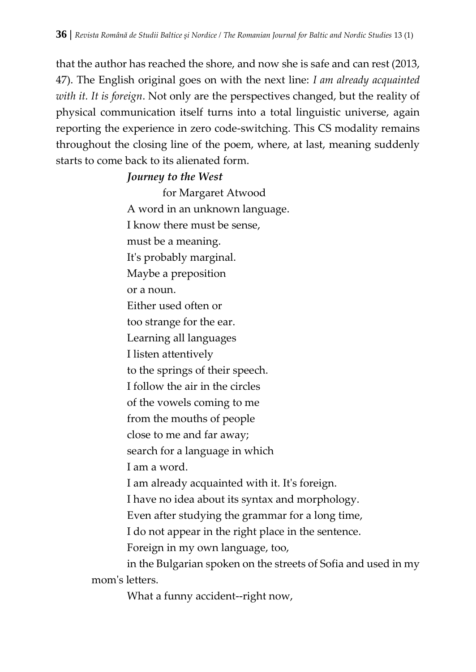that the author has reached the shore, and now she is safe and can rest (2013, 47). The English original goes on with the next line: *I am already acquainted with it. It is foreign*. Not only are the perspectives changed, but the reality of physical communication itself turns into a total linguistic universe, again reporting the experience in zero code-switching. This CS modality remains throughout the closing line of the poem, where, at last, meaning suddenly starts to come back to its alienated form.

#### *Journey to the West*

for Margaret Atwood A word in an unknown language. I know there must be sense, must be a meaning. It's probably marginal. Maybe a preposition or a noun. Either used often or too strange for the ear. Learning all languages I listen attentively to the springs of their speech. I follow the air in the circles of the vowels coming to me from the mouths of people close to me and far away; search for a language in which I am a word. I am already acquainted with it. It's foreign. I have no idea about its syntax and morphology. Even after studying the grammar for a long time, I do not appear in the right place in the sentence. Foreign in my own language, too, in the Bulgarian spoken on the streets of Sofia and used in my mom's letters.

What a funny accident--right now,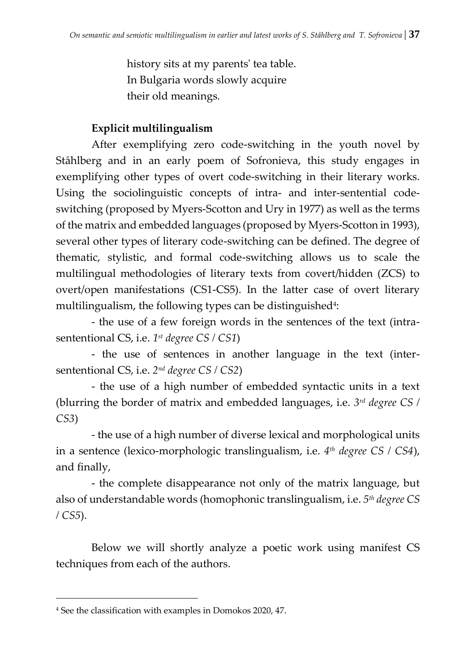history sits at my parents' tea table. In Bulgaria words slowly acquire their old meanings.

## **Explicit multilingualism**

After exemplifying zero code-switching in the youth novel by Ståhlberg and in an early poem of Sofronieva, this study engages in exemplifying other types of overt code-switching in their literary works. Using the sociolinguistic concepts of intra- and inter-sentential codeswitching (proposed by Myers-Scotton and Ury in 1977) as well as the terms of the matrix and embedded languages (proposed by Myers-Scotton in 1993), several other types of literary code-switching can be defined. The degree of thematic, stylistic, and formal code-switching allows us to scale the multilingual methodologies of literary texts from covert/hidden (ZCS) to overt/open manifestations (CS1-CS5). In the latter case of overt literary multilingualism, the following types can be distinguished<del>'</del>:

- the use of a few foreign words in the sentences of the text (intrasententional CS, i.e. *1 st degree CS / CS1*)

- the use of sentences in another language in the text (intersententional CS, i.e. *2 nd degree CS / CS2*)

- the use of a high number of embedded syntactic units in a text (blurring the border of matrix and embedded languages, i.e. *3 rd degree CS / CS3*)

- the use of a high number of diverse lexical and morphological units in a sentence (lexico-morphologic translingualism, i.e. *4 th degree CS / CS4*), and finally,

- the complete disappearance not only of the matrix language, but also of understandable words (homophonic translingualism, i.e. *5 th degree CS / CS5*).

Below we will shortly analyze a poetic work using manifest CS techniques from each of the authors.

<sup>4</sup> See the classification with examples in Domokos 2020, 47.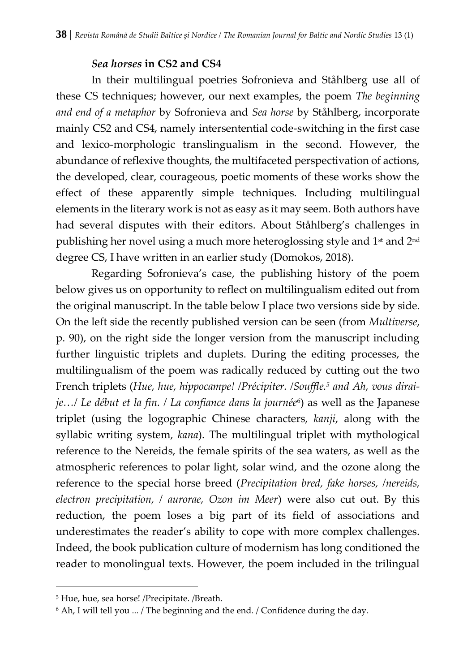#### *Sea horses* **in CS2 and CS4**

In their multilingual poetries Sofronieva and Ståhlberg use all of these CS techniques; however, our next examples, the poem *The beginning and end of a metaphor* by Sofronieva and *Sea horse* by Ståhlberg, incorporate mainly CS2 and CS4, namely intersentential code-switching in the first case and lexico-morphologic translingualism in the second. However, the abundance of reflexive thoughts, the multifaceted perspectivation of actions, the developed, clear, courageous, poetic moments of these works show the effect of these apparently simple techniques. Including multilingual elements in the literary work is not as easy as it may seem. Both authors have had several disputes with their editors. About Ståhlberg's challenges in publishing her novel using a much more heteroglossing style and 1<sup>st</sup> and 2<sup>nd</sup> degree CS, I have written in an earlier study (Domokos, 2018).

Regarding Sofronieva's case, the publishing history of the poem below gives us on opportunity to reflect on multilingualism edited out from the original manuscript. In the table below I place two versions side by side. On the left side the recently published version can be seen (from *Multiverse*, p. 90), on the right side the longer version from the manuscript including further linguistic triplets and duplets. During the editing processes, the multilingualism of the poem was radically reduced by cutting out the two French triplets (*Hue, hue, hippocampe! /Précipiter. /Souffle.<sup>5</sup> and Ah, vous diraije…/ Le début et la fin. / La confiance dans la journée*<sup>6</sup> ) as well as the Japanese triplet (using the logographic Chinese characters, *kanji*, along with the syllabic writing system, *kana*). The multilingual triplet with mythological reference to the Nereids, the female spirits of the sea waters, as well as the atmospheric references to polar light, solar wind, and the ozone along the reference to the special horse breed (*Precipitation bred, fake horses, /nereids, electron precipitation, / aurorae, Ozon im Meer*) were also cut out. By this reduction, the poem loses a big part of its field of associations and underestimates the reader's ability to cope with more complex challenges. Indeed, the book publication culture of modernism has long conditioned the reader to monolingual texts. However, the poem included in the trilingual

 $\overline{a}$ 

<sup>5</sup> Hue, hue, sea horse! /Precipitate. /Breath.

<sup>6</sup> Ah, I will tell you ... / The beginning and the end. / Confidence during the day.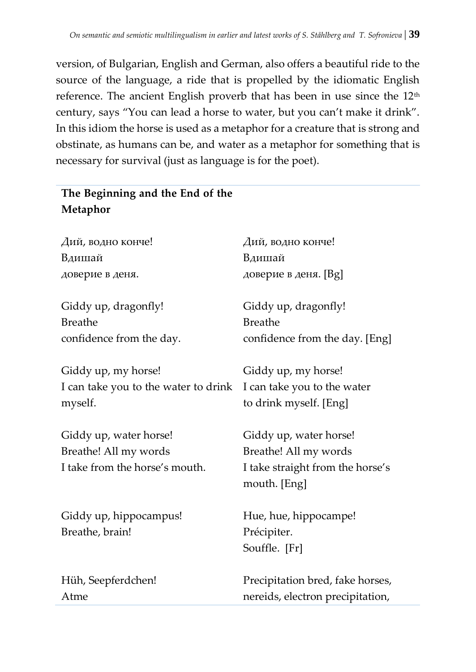version, of Bulgarian, English and German, also offers a beautiful ride to the source of the language, a ride that is propelled by the idiomatic English reference. The ancient English proverb that has been in use since the 12<sup>th</sup> century, says "You can lead a horse to water, but you can't make it drink". In this idiom the horse is used as a metaphor for a creature that is strong and obstinate, as humans can be, and water as a metaphor for something that is necessary for survival (just as language is for the poet).

## **The Beginning and the End of the Metaphor**

| Вдишай<br>Вдишай<br>доверие в деня. [Bg]<br>доверие в деня.<br>Giddy up, dragonfly!<br>Giddy up, dragonfly!<br><b>Breathe</b><br><b>Breathe</b><br>confidence from the day.<br>confidence from the day. [Eng]<br>Giddy up, my horse!<br>Giddy up, my horse!<br>I can take you to the water to drink<br>I can take you to the water<br>to drink myself. [Eng]<br>myself.<br>Giddy up, water horse!<br>Giddy up, water horse!<br>Breathe! All my words<br>Breathe! All my words<br>I take from the horse's mouth.<br>I take straight from the horse's<br>mouth. [Eng]<br>Giddy up, hippocampus!<br>Hue, hue, hippocampe!<br>Précipiter.<br>Breathe, brain!<br>Souffle. [Fr]<br>Hüh, Seepferdchen!<br>Precipitation bred, fake horses,<br>nereids, electron precipitation,<br>Atme | Дий, водно конче! | Дий, водно конче! |
|---------------------------------------------------------------------------------------------------------------------------------------------------------------------------------------------------------------------------------------------------------------------------------------------------------------------------------------------------------------------------------------------------------------------------------------------------------------------------------------------------------------------------------------------------------------------------------------------------------------------------------------------------------------------------------------------------------------------------------------------------------------------------------|-------------------|-------------------|
|                                                                                                                                                                                                                                                                                                                                                                                                                                                                                                                                                                                                                                                                                                                                                                                 |                   |                   |
|                                                                                                                                                                                                                                                                                                                                                                                                                                                                                                                                                                                                                                                                                                                                                                                 |                   |                   |
|                                                                                                                                                                                                                                                                                                                                                                                                                                                                                                                                                                                                                                                                                                                                                                                 |                   |                   |
|                                                                                                                                                                                                                                                                                                                                                                                                                                                                                                                                                                                                                                                                                                                                                                                 |                   |                   |
|                                                                                                                                                                                                                                                                                                                                                                                                                                                                                                                                                                                                                                                                                                                                                                                 |                   |                   |
|                                                                                                                                                                                                                                                                                                                                                                                                                                                                                                                                                                                                                                                                                                                                                                                 |                   |                   |
|                                                                                                                                                                                                                                                                                                                                                                                                                                                                                                                                                                                                                                                                                                                                                                                 |                   |                   |
|                                                                                                                                                                                                                                                                                                                                                                                                                                                                                                                                                                                                                                                                                                                                                                                 |                   |                   |
|                                                                                                                                                                                                                                                                                                                                                                                                                                                                                                                                                                                                                                                                                                                                                                                 |                   |                   |
|                                                                                                                                                                                                                                                                                                                                                                                                                                                                                                                                                                                                                                                                                                                                                                                 |                   |                   |
|                                                                                                                                                                                                                                                                                                                                                                                                                                                                                                                                                                                                                                                                                                                                                                                 |                   |                   |
|                                                                                                                                                                                                                                                                                                                                                                                                                                                                                                                                                                                                                                                                                                                                                                                 |                   |                   |
|                                                                                                                                                                                                                                                                                                                                                                                                                                                                                                                                                                                                                                                                                                                                                                                 |                   |                   |
|                                                                                                                                                                                                                                                                                                                                                                                                                                                                                                                                                                                                                                                                                                                                                                                 |                   |                   |
|                                                                                                                                                                                                                                                                                                                                                                                                                                                                                                                                                                                                                                                                                                                                                                                 |                   |                   |
|                                                                                                                                                                                                                                                                                                                                                                                                                                                                                                                                                                                                                                                                                                                                                                                 |                   |                   |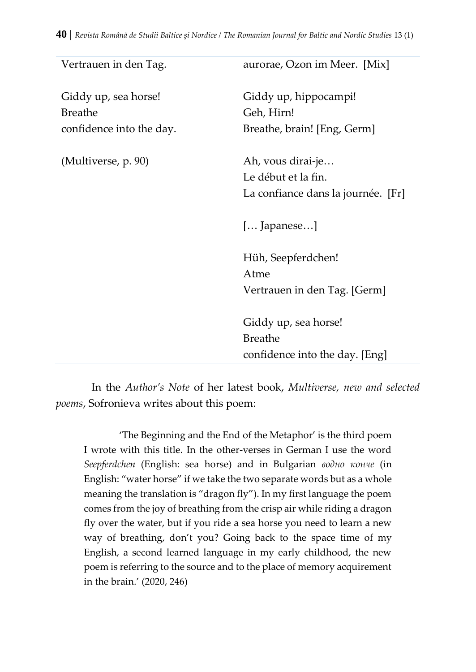| Vertrauen in den Tag.    | aurorae, Ozon im Meer. [Mix]       |
|--------------------------|------------------------------------|
| Giddy up, sea horse!     | Giddy up, hippocampi!              |
| <b>Breathe</b>           | Geh, Hirn!                         |
| confidence into the day. | Breathe, brain! [Eng, Germ]        |
| (Multiverse, p. 90)      | Ah, vous dirai-je                  |
|                          | Le début et la fin.                |
|                          | La confiance dans la journée. [Fr] |
|                          | $[]$ apanese]                      |
|                          | Hüh, Seepferdchen!                 |
|                          | Atme                               |
|                          | Vertrauen in den Tag. [Germ]       |
|                          | Giddy up, sea horse!               |
|                          | <b>Breathe</b>                     |
|                          | confidence into the day. [Eng]     |

In the *Author's Note* of her latest book, *Multiverse, new and selected poems*, Sofronieva writes about this poem:

'The Beginning and the End of the Metaphor' is the third poem I wrote with this title. In the other-verses in German I use the word *Seepferdchen* (English: sea horse) and in Bulgarian *водно конче* (in English: "water horse" if we take the two separate words but as a whole meaning the translation is "dragon fly"). In my first language the poem comes from the joy of breathing from the crisp air while riding a dragon fly over the water, but if you ride a sea horse you need to learn a new way of breathing, don't you? Going back to the space time of my English, a second learned language in my early childhood, the new poem is referring to the source and to the place of memory acquirement in the brain.' (2020, 246)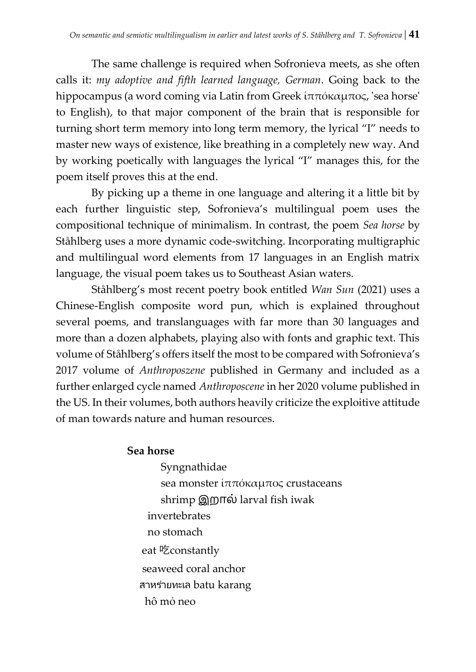The same challenge is required when Sofronieva meets, as she often calls it: *my adoptive and fifth learned language, German*. Going back to the hippocampus (a word coming via Latin from Greek ἱππόκαμπος, 'sea horse' to English), to that major component of the brain that is responsible for turning short term memory into long term memory, the lyrical "I" needs to master new ways of existence, like breathing in a completely new way. And by working poetically with languages the lyrical "I" manages this, for the poem itself proves this at the end.

By picking up a theme in one language and altering it a little bit by each further linguistic step, Sofronieva's multilingual poem uses the compositional technique of minimalism. In contrast, the poem *Sea horse* by Ståhlberg uses a more dynamic code-switching. Incorporating multigraphic and multilingual word elements from 17 languages in an English matrix language, the visual poem takes us to Southeast Asian waters.

Ståhlberg's most recent poetry book entitled *Wan Sun* (2021) uses a Chinese-English composite word pun, which is explained throughout several poems, and translanguages with far more than 30 languages and more than a dozen alphabets, playing also with fonts and graphic text. This volume of Ståhlberg's offers itself the most to be compared with Sofronieva's 2017 volume of *Anthroposzene* published in Germany and included as a further enlarged cycle named *Anthroposcene* in her 2020 volume published in the US. In their volumes, both authors heavily criticize the exploitive attitude of man towards nature and human resources.

#### **Sea horse**

Syngnathidae sea monster ἱππόκαμπος crustaceans shrimp இறால் larval fish iwak invertebrates no stomach eat 吃constantly seaweed coral anchor สาหร่ายทะเล batu karang hô mỏ neo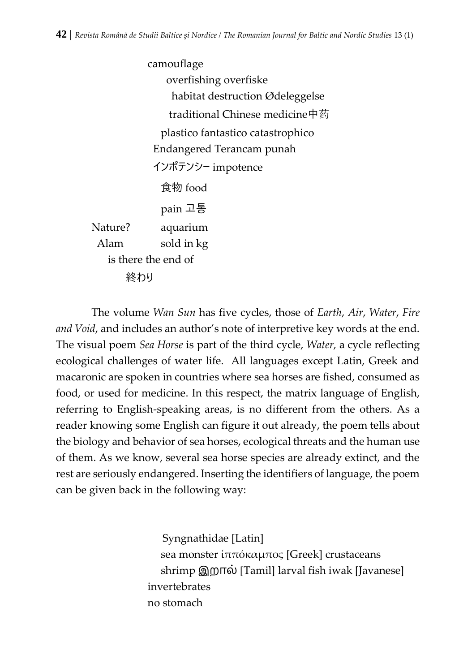camouflage overfishing overfiske habitat destruction Ødeleggelse traditional Chinese medicine中药 plastico fantastico catastrophico Endangered Terancam punah インポテンシー impotence 食物 food pain 고통 Nature? aquarium Alam sold in kg is there the end of 終わり

The volume *Wan Sun* has five cycles, those of *Earth*, *Air*, *Water*, *Fire and Void*, and includes an author's note of interpretive key words at the end. The visual poem *Sea Horse* is part of the third cycle, *Water*, a cycle reflecting ecological challenges of water life. All languages except Latin, Greek and macaronic are spoken in countries where sea horses are fished, consumed as food, or used for medicine. In this respect, the matrix language of English, referring to English-speaking areas, is no different from the others. As a reader knowing some English can figure it out already, the poem tells about the biology and behavior of sea horses, ecological threats and the human use of them. As we know, several sea horse species are already extinct, and the rest are seriously endangered. Inserting the identifiers of language, the poem can be given back in the following way:

> Syngnathidae [Latin] sea monster ἱππόκαμπος [Greek] crustaceans shrimp இறால் [Tamil] larval fish iwak [Javanese] invertebrates no stomach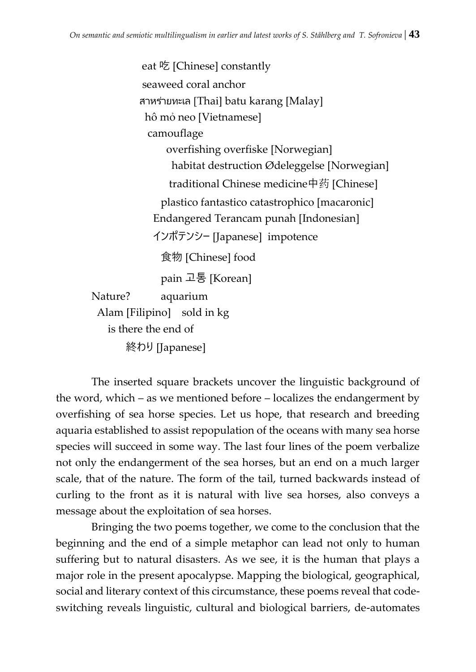eat 吃 [Chinese] constantly seaweed coral anchor สาหร่ายทะเล [Thai] batu karang [Malay] hô mỏ neo [Vietnamese] camouflage overfishing overfiske [Norwegian] habitat destruction Ødeleggelse [Norwegian] traditional Chinese medicine中药 [Chinese] plastico fantastico catastrophico [macaronic] Endangered Terancam punah [Indonesian] インポテンシー [Japanese] impotence 食物 [Chinese] food pain 고통 [Korean] Nature? aquarium Alam [Filipino] sold in kg is there the end of

終わり [Japanese]

The inserted square brackets uncover the linguistic background of the word, which – as we mentioned before – localizes the endangerment by overfishing of sea horse species. Let us hope, that research and breeding aquaria established to assist repopulation of the oceans with many sea horse species will succeed in some way. The last four lines of the poem verbalize not only the endangerment of the sea horses, but an end on a much larger scale, that of the nature. The form of the tail, turned backwards instead of curling to the front as it is natural with live sea horses, also conveys a message about the exploitation of sea horses.

Bringing the two poems together, we come to the conclusion that the beginning and the end of a simple metaphor can lead not only to human suffering but to natural disasters. As we see, it is the human that plays a major role in the present apocalypse. Mapping the biological, geographical, social and literary context of this circumstance, these poems reveal that codeswitching reveals linguistic, cultural and biological barriers, de-automates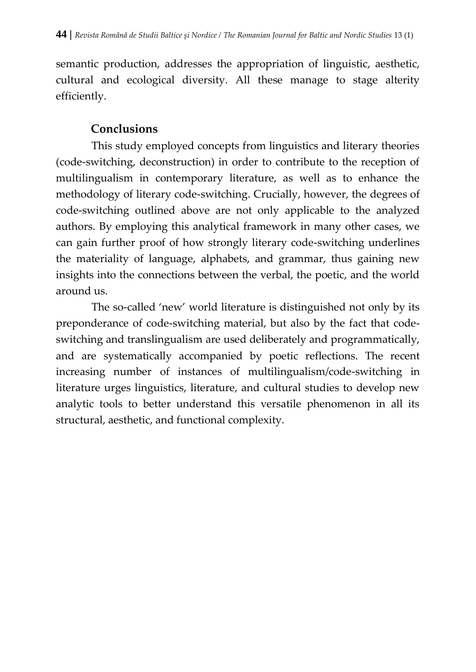semantic production, addresses the appropriation of linguistic, aesthetic, cultural and ecological diversity. All these manage to stage alterity efficiently.

### **Conclusions**

This study employed concepts from linguistics and literary theories (code-switching, deconstruction) in order to contribute to the reception of multilingualism in contemporary literature, as well as to enhance the methodology of literary code-switching. Crucially, however, the degrees of code-switching outlined above are not only applicable to the analyzed authors. By employing this analytical framework in many other cases, we can gain further proof of how strongly literary code-switching underlines the materiality of language, alphabets, and grammar, thus gaining new insights into the connections between the verbal, the poetic, and the world around us.

The so-called 'new' world literature is distinguished not only by its preponderance of code-switching material, but also by the fact that codeswitching and translingualism are used deliberately and programmatically, and are systematically accompanied by poetic reflections. The recent increasing number of instances of multilingualism/code-switching in literature urges linguistics, literature, and cultural studies to develop new analytic tools to better understand this versatile phenomenon in all its structural, aesthetic, and functional complexity.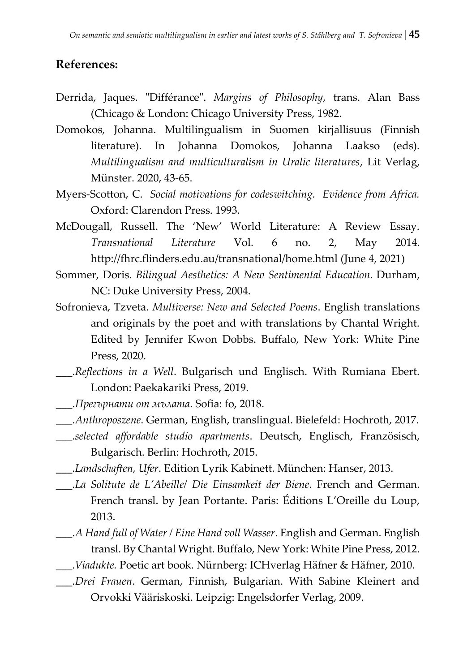### **References:**

- Derrida, Jaques. "Différance". *Margins of Philosophy*, trans. Alan Bass (Chicago & London: Chicago University Press, 1982.
- Domokos, Johanna. Multilingualism in Suomen kirjallisuus (Finnish literature). In Johanna Domokos, Johanna Laakso (eds). *Multilingualism and multiculturalism in Uralic literatures*, Lit Verlag, Münster. 2020, 43-65.
- Myers-Scotton, C. *Social motivations for codeswitching. Evidence from Africa.* Oxford: Clarendon Press. 1993.
- McDougall, Russell. The 'New' World Literature: A Review Essay. *Transnational Literature* Vol. 6 no. 2, May 2014. http://fhrc.flinders.edu.au/transnational/home.html (June 4, 2021)
- Sommer, Doris. *Bilingual Aesthetics: A New Sentimental Education*. Durham, NC: Duke University Press, 2004.
- Sofronieva, Tzveta. *Multiverse: New and Selected Poems*. English translations and originals by the poet and with translations by Chantal Wright. Edited by Jennifer Kwon Dobbs. Buffalo, New York: White Pine Press, 2020.
- \_\_\_.*Reflections in a Well*. Bulgarisch und Englisch. With Rumiana Ebert. London: Paekakariki Press, 2019.
- \_\_\_.*Прегърнати от мълата*. Sofia: fo, 2018.
- \_\_\_.*Anthroposzene*. German, English, translingual. Bielefeld: Hochroth, 2017.
- \_\_\_.*selected affordable studio apartments*. Deutsch, Englisch, Französisch, Bulgarisch. Berlin: Hochroth, 2015.
- \_\_\_.*Landschaften, Ufer*. Edition Lyrik Kabinett. München: Hanser, 2013.
- \_\_\_.*La Solitute de L'Abeille/ Die Einsamkeit der Biene*. French and German. French transl. by Jean Portante. Paris: Éditions L'Oreille du Loup, 2013.
- \_\_\_.*A Hand full of Water / Eine Hand voll Wasser*. English and German. English transl. By Chantal Wright. Buffalo, New York: White Pine Press, 2012.
- \_\_\_.*Viadukte.* Poetic art book. Nürnberg: ICHverlag Häfner & Häfner, 2010.
- \_\_\_.*Drei Frauen*. German, Finnish, Bulgarian. With Sabine Kleinert and Orvokki Vääriskoski. Leipzig: Engelsdorfer Verlag, 2009.